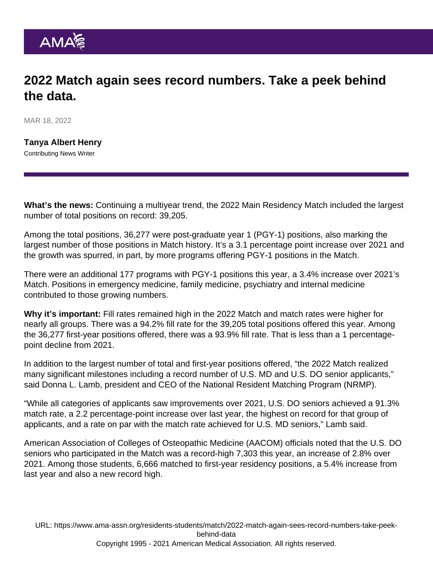## 2022 Match again sees record numbers. Take a peek behind the data.

MAR 18, 2022

[Tanya Albert Henry](https://www.ama-assn.org/news-leadership-viewpoints/authors-news-leadership-viewpoints/tanya-albert-henry) Contributing News Writer

What's the news: Continuing a multiyear trend, the 2022 Main Residency Match included the largest number of total positions on record: 39,205.

Among the total positions, 36,277 were post-graduate year 1 (PGY-1) positions, also marking the largest number of those positions in Match history. It's a 3.1 percentage point increase over 2021 and the growth was spurred, in part, by more programs offering PGY-1 positions in the Match.

There were an additional 177 programs with PGY-1 positions this year, a 3.4% increase over 2021's Match. Positions in emergency medicine, family medicine, psychiatry and internal medicine contributed to those growing numbers.

Why it's important: Fill rates remained high in the 2022 Match and match rates were higher for nearly all groups. There was a 94.2% fill rate for the 39,205 total positions offered this year. Among the 36,277 first-year positions offered, there was a 93.9% fill rate. That is less than a 1 percentagepoint decline from 2021.

In addition to the largest number of total and first-year positions offered, "the 2022 Match realized many significant milestones including a record number of U.S. MD and U.S. DO senior applicants," said Donna L. Lamb, president and CEO of the National Resident Matching Program (NRMP).

"While all categories of applicants saw improvements over 2021, U.S. DO seniors achieved a 91.3% match rate, a 2.2 percentage-point increase over last year, the highest on record for that group of applicants, and a rate on par with the match rate achieved for U.S. MD seniors," Lamb said.

American Association of Colleges of Osteopathic Medicine (AACOM) officials noted that the U.S. DO seniors who participated in the Match was a record-high 7,303 this year, an increase of 2.8% over 2021. Among those students, 6,666 matched to first-year residency positions, a 5.4% increase from last year and also a new record high.

URL: [https://www.ama-assn.org/residents-students/match/2022-match-again-sees-record-numbers-take-peek](https://www.ama-assn.org/residents-students/match/2022-match-again-sees-record-numbers-take-peek-behind-data)[behind-data](https://www.ama-assn.org/residents-students/match/2022-match-again-sees-record-numbers-take-peek-behind-data) Copyright 1995 - 2021 American Medical Association. All rights reserved.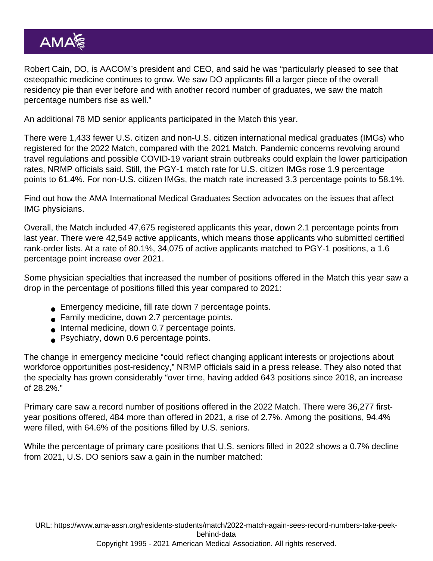Robert Cain, DO, is AACOM's president and CEO, and said he was "particularly pleased to see that osteopathic medicine continues to grow. We saw DO applicants fill a larger piece of the overall residency pie than ever before and with another record number of graduates, we saw the match percentage numbers rise as well."

An additional 78 MD senior applicants participated in the Match this year.

There were 1,433 fewer U.S. citizen and non-U.S. citizen international medical graduates (IMGs) who registered for the 2022 Match, compared with the 2021 Match. Pandemic concerns revolving around travel regulations and possible COVID-19 variant strain outbreaks could explain the lower participation rates, NRMP officials said. Still, the PGY-1 match rate for U.S. citizen IMGs rose 1.9 percentage points to 61.4%. For non-U.S. citizen IMGs, the match rate increased 3.3 percentage points to 58.1%.

Find out how the [AMA International Medical Graduates Section](https://www.ama-assn.org/member-groups-sections/international-medical-graduates) advocates on the issues that affect IMG physicians.

Overall, the Match included 47,675 registered applicants this year, down 2.1 percentage points from last year. There were 42,549 active applicants, which means those applicants who submitted certified rank-order lists. At a rate of 80.1%, 34,075 of active applicants matched to PGY-1 positions, a 1.6 percentage point increase over 2021.

Some physician specialties that increased the number of positions offered in the Match this year saw a drop in the percentage of positions filled this year compared to 2021:

- Emergency medicine, fill rate down 7 percentage points.
- Family medicine, down 2.7 percentage points.
- Internal medicine, down 0.7 percentage points.
- **Psychiatry, down 0.6 percentage points.**

The change in emergency medicine "could reflect changing applicant interests or projections about workforce opportunities post-residency," NRMP officials said in a press release. They also noted that the specialty has grown considerably "over time, having added 643 positions since 2018, an increase of 28.2%."

Primary care saw a record number of positions offered in the 2022 Match. There were 36,277 firstyear positions offered, 484 more than offered in 2021, a rise of 2.7%. Among the positions, 94.4% were filled, with 64.6% of the positions filled by U.S. seniors.

While the percentage of primary care positions that U.S. seniors filled in 2022 shows a 0.7% decline from 2021, U.S. DO seniors saw a gain in the number matched:

URL: [https://www.ama-assn.org/residents-students/match/2022-match-again-sees-record-numbers-take-peek](https://www.ama-assn.org/residents-students/match/2022-match-again-sees-record-numbers-take-peek-behind-data)[behind-data](https://www.ama-assn.org/residents-students/match/2022-match-again-sees-record-numbers-take-peek-behind-data) Copyright 1995 - 2021 American Medical Association. All rights reserved.